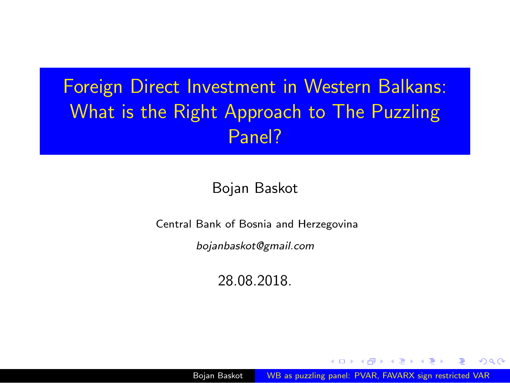# <span id="page-0-0"></span>Foreign Direct Investment in Western Balkans: What is the Right Approach to The Puzzling Panel?

#### Bojan Baskot

Central Bank of Bosnia and Herzegovina

bojanbaskot@gmail.com

28.08.2018.

Bojan Baskot **WB** as puzzling panel: PVAR, FAVARX sign restricted VAR

**何 ▶ ( 三 ) ( 三 )** 

 $299$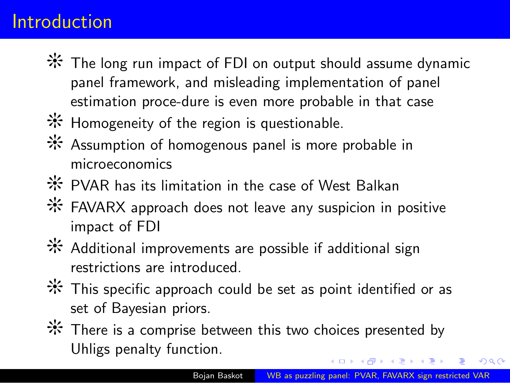#### Introduction

- ❨ The long run impact of FDI on output should assume dynamic panel framework, and misleading implementation of panel estimation proce-dure is even more probable in that case
- **※** Homogeneity of the region is questionable.
- ❨ Assumption of homogenous panel is more probable in microeconomics
- ❨ PVAR has its limitation in the case of West Balkan
- ❨ FAVARX approach does not leave any suspicion in positive impact of FDI
- ❨ Additional improvements are possible if additional sign restrictions are introduced.
- $*$  This specific approach could be set as point identified or as set of Bayesian priors.
- **※** There is a comprise between this two choices presented by Uhligs penalty function.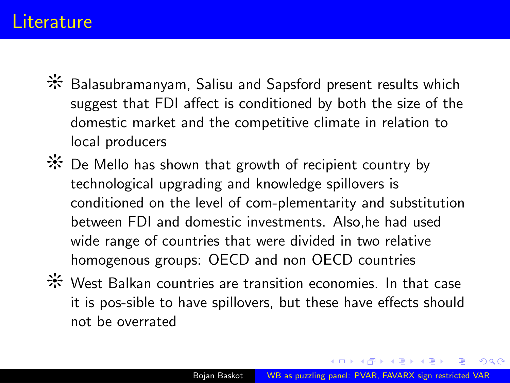#### <span id="page-2-0"></span>**Literature**

- **米** Balasubramanyam, Salisu and Sapsford present results which suggest that FDI affect is conditioned by both the size of the domestic market and the competitive climate in relation to local producers
- ❨ De Mello has shown that growth of recipient country by technological upgrading and knowledge spillovers is conditioned on the level of com-plementarity and substitution between FDI and domestic investments. Also,he had used wide range of countries that were divided in two relative homogenous groups: OECD and non OECD countries
- ❨ West Balkan countries are transition economies. In that case it is pos-sible to have spillovers, but these have effects should not be overrated

**何 ト ィヨ ト ィヨ ト**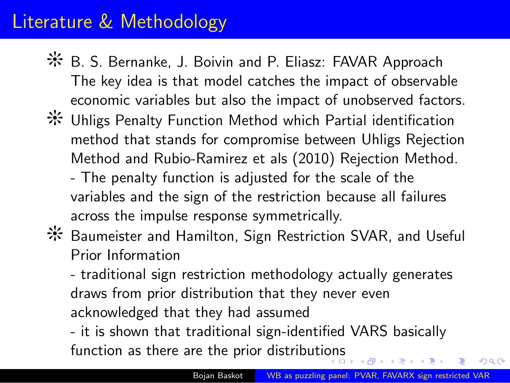### Literature & Methodology

- ❨ B. S. Bernanke, J. Boivin and P. Eliasz: FAVAR Approach The key idea is that model catches the impact of observable economic variables but also the impact of unobserved factors.
- ❨ Uhligs Penalty Function Method which Partial identification method that stands for compromise between Uhligs Rejection Method and Rubio-Ramirez et als (2010) Rejection Method.
	- The penalty function is adjusted for the scale of the variables and the sign of the restriction because all failures across the impulse response symmetrically.
- **米 Baumeister and Hamilton, Sign Restriction SVAR, and Useful** Prior Information

- traditional sign restriction methodology actually generates draws from prior distribution that they never even acknowledged that they had assumed

- it is shown that traditional sign-identified VARS basically function as there are the prior distributi[on](#page-2-0)s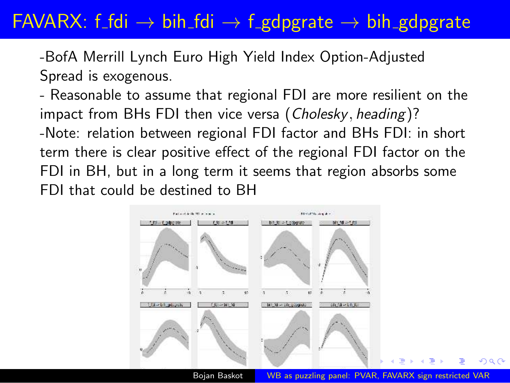### FAVARX: f\_fdi  $\rightarrow$  bih\_fdi  $\rightarrow$  f\_gdpgrate  $\rightarrow$  bih\_gdpgrate

-BofA Merrill Lynch Euro High Yield Index Option-Adjusted Spread is exogenous.

- Reasonable to assume that regional FDI are more resilient on the impact from BHs FDI then vice versa (Cholesky, heading)? -Note: relation between regional FDI factor and BHs FDI: in short term there is clear positive effect of the regional FDI factor on the FDI in BH, but in a long term it seems that region absorbs some FDI that could be destined to BH



Bojan Baskot [WB as puzzling panel: PVAR, FAVARX sign restricted VAR](#page-0-0)

 $\Omega$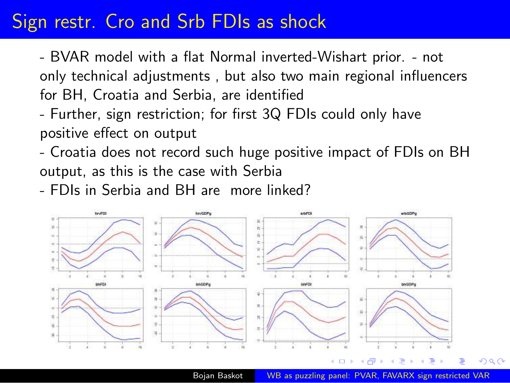#### Sign restr. Cro and Srb FDIs as shock

- BVAR model with a flat Normal inverted-Wishart prior. - not only technical adjustments , but also two main regional influencers for BH, Croatia and Serbia, are identified

- Further, sign restriction; for first 3Q FDIs could only have positive effect on output
- Croatia does not record such huge positive impact of FDIs on BH output, as this is the case with Serbia
- FDIs in Serbia and BH are more linked?



Bojan Baskot [WB as puzzling panel: PVAR, FAVARX sign restricted VAR](#page-0-0)

つくへ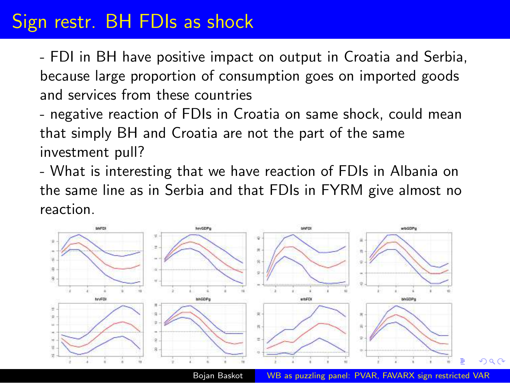## Sign restr. BH FDIs as shock

- FDI in BH have positive impact on output in Croatia and Serbia, because large proportion of consumption goes on imported goods and services from these countries

- negative reaction of FDIs in Croatia on same shock, could mean that simply BH and Croatia are not the part of the same investment pull?

- What is interesting that we have reaction of FDIs in Albania on the same line as in Serbia and that FDIs in FYRM give almost no reaction.



Bojan Baskot **WB** as puzzling panel: PVAR, FAVARX sign restricted VAR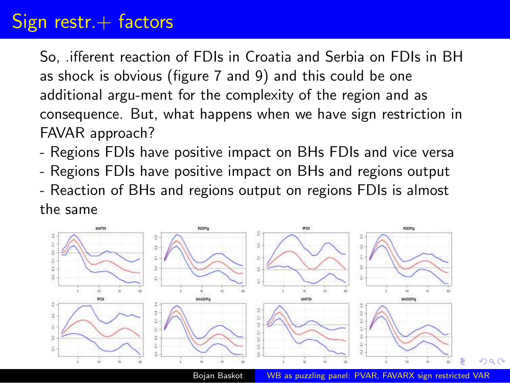#### Sign restr. $+$  factors

So, .ifferent reaction of FDIs in Croatia and Serbia on FDIs in BH as shock is obvious (figure 7 and 9) and this could be one additional argu-ment for the complexity of the region and as consequence. But, what happens when we have sign restriction in FAVAR approach?

- Regions FDIs have positive impact on BHs FDIs and vice versa
- Regions FDIs have positive impact on BHs and regions output
- Reaction of BHs and regions output on regions FDIs is almost the same



Bojan Baskot **WB** as puzzling panel: PVAR, FAVARX sign restricted VAR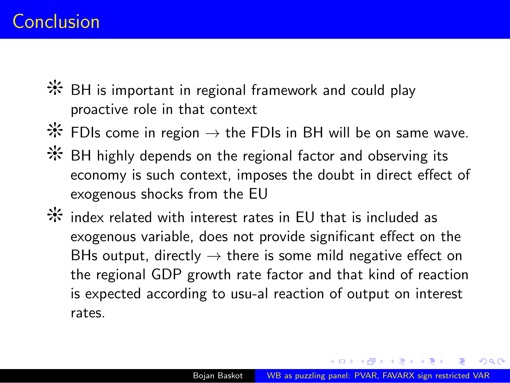#### <span id="page-8-0"></span>Conclusion

- $*$  BH is important in regional framework and could play proactive role in that context
- $*$  FDIs come in region → the FDIs in BH will be on same wave.
- $*$  BH highly depends on the regional factor and observing its economy is such context, imposes the doubt in direct effect of exogenous shocks from the EU
- $*$  index related with interest rates in EU that is included as exogenous variable, does not provide significant effect on the BHs output, directly  $\rightarrow$  there is some mild negative effect on the regional GDP growth rate factor and that kind of reaction is expected according to usu-al reaction of output on interest rates.

イ何 トイヨ トイヨ ト

 $2990$